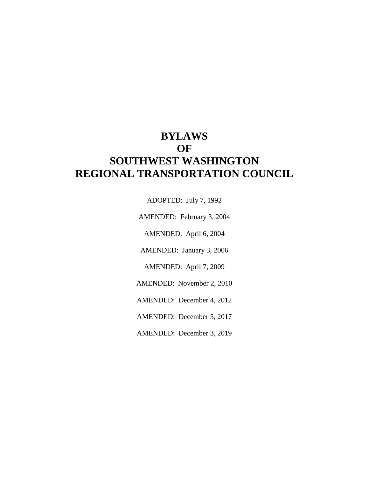# **BYLAWS OF SOUTHWEST WASHINGTON REGIONAL TRANSPORTATION COUNCIL**

ADOPTED: July 7, 1992

AMENDED: February 3, 2004

AMENDED: April 6, 2004

AMENDED: January 3, 2006

AMENDED: April 7, 2009

AMENDED: November 2, 2010

AMENDED: December 4, 2012

AMENDED: December 5, 2017

AMENDED: December 3, 2019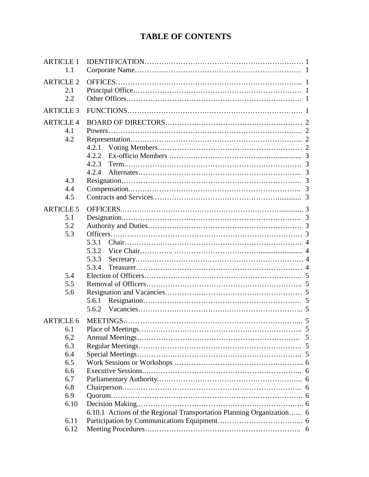# **TABLE OF CONTENTS**

| <b>ARTICLE 1</b><br>1.1 |                                                                       |  |
|-------------------------|-----------------------------------------------------------------------|--|
| <b>ARTICLE 2</b>        |                                                                       |  |
|                         |                                                                       |  |
| 2.1                     |                                                                       |  |
| 2.2                     |                                                                       |  |
| <b>ARTICLE 3</b>        |                                                                       |  |
| <b>ARTICLE 4</b>        |                                                                       |  |
| 4.1                     |                                                                       |  |
| 4.2                     |                                                                       |  |
|                         | 4.2.1                                                                 |  |
|                         | 4.2.2                                                                 |  |
|                         | 4.2.3                                                                 |  |
|                         | 4.2.4                                                                 |  |
| 4.3                     |                                                                       |  |
| 4.4                     |                                                                       |  |
| 4.5                     |                                                                       |  |
| <b>ARTICLE 5</b>        |                                                                       |  |
|                         |                                                                       |  |
| 5.1                     |                                                                       |  |
| 5.2                     |                                                                       |  |
| 5.3                     |                                                                       |  |
|                         | 5.3.1                                                                 |  |
|                         | 5.3.2                                                                 |  |
|                         | 5.3.3                                                                 |  |
|                         | 5.3.4                                                                 |  |
| 5.4                     |                                                                       |  |
| 5.5                     |                                                                       |  |
| 5.6                     |                                                                       |  |
|                         | 5.6.1                                                                 |  |
|                         | 5.6.2                                                                 |  |
| <b>ARTICLE 6</b>        |                                                                       |  |
| 6.1                     |                                                                       |  |
| 6.2                     |                                                                       |  |
| 6.3                     |                                                                       |  |
| 6.4                     |                                                                       |  |
| 6.5                     |                                                                       |  |
| 6.6                     |                                                                       |  |
| 6.7                     |                                                                       |  |
| 6.8                     |                                                                       |  |
| 6.9                     |                                                                       |  |
| 6.10                    |                                                                       |  |
|                         | 6.10.1 Actions of the Regional Transportation Planning Organization 6 |  |
| 6.11                    |                                                                       |  |
| 6.12                    |                                                                       |  |
|                         |                                                                       |  |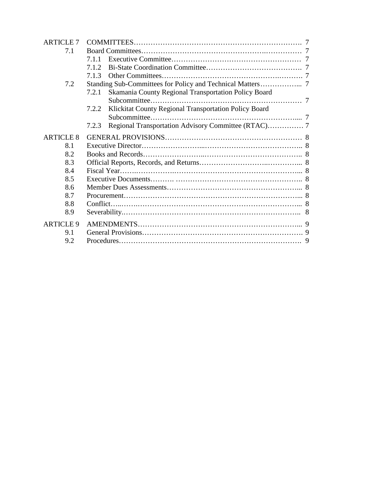| <b>ARTICLE 7</b> |                                                                |  |
|------------------|----------------------------------------------------------------|--|
| 7.1              |                                                                |  |
|                  | 7.1.1                                                          |  |
|                  | 7.1.2                                                          |  |
|                  | 7.1.3                                                          |  |
| 7.2              |                                                                |  |
|                  | Skamania County Regional Transportation Policy Board<br>7.2.1  |  |
|                  |                                                                |  |
|                  | Klickitat County Regional Transportation Policy Board<br>7.2.2 |  |
|                  |                                                                |  |
|                  | 7.2.3                                                          |  |
| <b>ARTICLE 8</b> |                                                                |  |
| 8.1              |                                                                |  |
| 8.2              |                                                                |  |
| 8.3              |                                                                |  |
| 8.4              |                                                                |  |
| 8.5              |                                                                |  |
| 8.6              |                                                                |  |
| 8.7              |                                                                |  |
| 8.8              |                                                                |  |
| 8.9              |                                                                |  |
| <b>ARTICLE 9</b> |                                                                |  |
| 9.1              |                                                                |  |
| 9.2              |                                                                |  |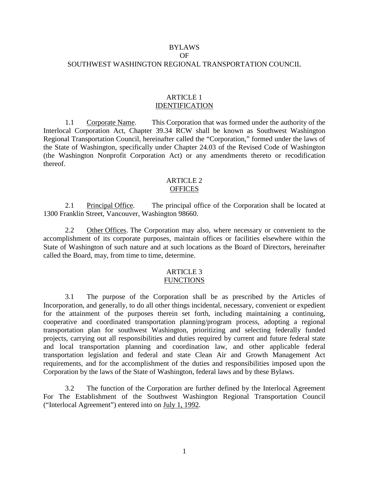# BYLAWS OF SOUTHWEST WASHINGTON REGIONAL TRANSPORTATION COUNCIL

# ARTICLE 1 IDENTIFICATION

1.1 Corporate Name. This Corporation that was formed under the authority of the Interlocal Corporation Act, Chapter 39.34 RCW shall be known as Southwest Washington Regional Transportation Council, hereinafter called the "Corporation," formed under the laws of the State of Washington, specifically under Chapter 24.03 of the Revised Code of Washington (the Washington Nonprofit Corporation Act) or any amendments thereto or recodification thereof.

# ARTICLE 2 **OFFICES**

2.1 Principal Office. The principal office of the Corporation shall be located at 1300 Franklin Street, Vancouver, Washington 98660.

2.2 Other Offices. The Corporation may also, where necessary or convenient to the accomplishment of its corporate purposes, maintain offices or facilities elsewhere within the State of Washington of such nature and at such locations as the Board of Directors, hereinafter called the Board, may, from time to time, determine.

#### ARTICLE 3 FUNCTIONS

3.1 The purpose of the Corporation shall be as prescribed by the Articles of Incorporation, and generally, to do all other things incidental, necessary, convenient or expedient for the attainment of the purposes therein set forth, including maintaining a continuing, cooperative and coordinated transportation planning/program process, adopting a regional transportation plan for southwest Washington, prioritizing and selecting federally funded projects, carrying out all responsibilities and duties required by current and future federal state and local transportation planning and coordination law, and other applicable federal transportation legislation and federal and state Clean Air and Growth Management Act requirements, and for the accomplishment of the duties and responsibilities imposed upon the Corporation by the laws of the State of Washington, federal laws and by these Bylaws.

3.2 The function of the Corporation are further defined by the Interlocal Agreement For The Establishment of the Southwest Washington Regional Transportation Council ("Interlocal Agreement") entered into on July 1, 1992.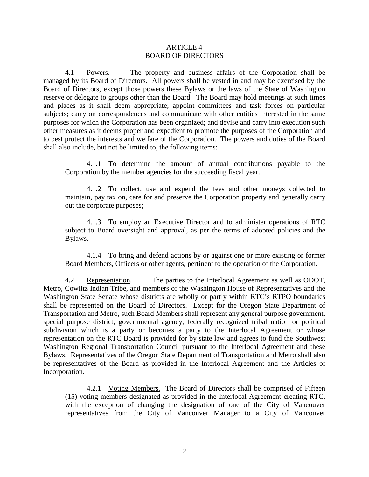# ARTICLE 4 BOARD OF DIRECTORS

4.1 Powers. The property and business affairs of the Corporation shall be managed by its Board of Directors. All powers shall be vested in and may be exercised by the Board of Directors, except those powers these Bylaws or the laws of the State of Washington reserve or delegate to groups other than the Board. The Board may hold meetings at such times and places as it shall deem appropriate; appoint committees and task forces on particular subjects; carry on correspondences and communicate with other entities interested in the same purposes for which the Corporation has been organized; and devise and carry into execution such other measures as it deems proper and expedient to promote the purposes of the Corporation and to best protect the interests and welfare of the Corporation. The powers and duties of the Board shall also include, but not be limited to, the following items:

4.1.1 To determine the amount of annual contributions payable to the Corporation by the member agencies for the succeeding fiscal year.

4.1.2 To collect, use and expend the fees and other moneys collected to maintain, pay tax on, care for and preserve the Corporation property and generally carry out the corporate purposes;

4.1.3 To employ an Executive Director and to administer operations of RTC subject to Board oversight and approval, as per the terms of adopted policies and the Bylaws.

4.1.4 To bring and defend actions by or against one or more existing or former Board Members, Officers or other agents, pertinent to the operation of the Corporation.

4.2 Representation. The parties to the Interlocal Agreement as well as ODOT, Metro, Cowlitz Indian Tribe, and members of the Washington House of Representatives and the Washington State Senate whose districts are wholly or partly within RTC's RTPO boundaries shall be represented on the Board of Directors. Except for the Oregon State Department of Transportation and Metro, such Board Members shall represent any general purpose government, special purpose district, governmental agency, federally recognized tribal nation or political subdivision which is a party or becomes a party to the Interlocal Agreement or whose representation on the RTC Board is provided for by state law and agrees to fund the Southwest Washington Regional Transportation Council pursuant to the Interlocal Agreement and these Bylaws. Representatives of the Oregon State Department of Transportation and Metro shall also be representatives of the Board as provided in the Interlocal Agreement and the Articles of Incorporation.

4.2.1 Voting Members. The Board of Directors shall be comprised of Fifteen (15) voting members designated as provided in the Interlocal Agreement creating RTC, with the exception of changing the designation of one of the City of Vancouver representatives from the City of Vancouver Manager to a City of Vancouver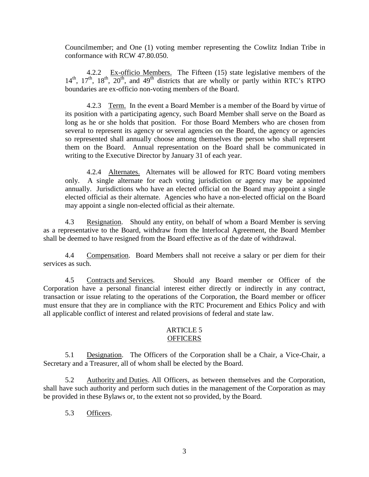Councilmember; and One (1) voting member representing the Cowlitz Indian Tribe in conformance with RCW 47.80.050.

4.2.2 Ex-officio Members. The Fifteen (15) state legislative members of the  $14<sup>th</sup>$ ,  $17<sup>th</sup>$ ,  $18<sup>th</sup>$ ,  $20<sup>th</sup>$ , and  $49<sup>th</sup>$  districts that are wholly or partly within RTC's RTPO boundaries are ex-officio non-voting members of the Board.

4.2.3 Term. In the event a Board Member is a member of the Board by virtue of its position with a participating agency, such Board Member shall serve on the Board as long as he or she holds that position. For those Board Members who are chosen from several to represent its agency or several agencies on the Board, the agency or agencies so represented shall annually choose among themselves the person who shall represent them on the Board. Annual representation on the Board shall be communicated in writing to the Executive Director by January 31 of each year.

4.2.4 Alternates. Alternates will be allowed for RTC Board voting members only. A single alternate for each voting jurisdiction or agency may be appointed annually. Jurisdictions who have an elected official on the Board may appoint a single elected official as their alternate. Agencies who have a non-elected official on the Board may appoint a single non-elected official as their alternate.

4.3 Resignation. Should any entity, on behalf of whom a Board Member is serving as a representative to the Board, withdraw from the Interlocal Agreement, the Board Member shall be deemed to have resigned from the Board effective as of the date of withdrawal.

4.4 Compensation. Board Members shall not receive a salary or per diem for their services as such.

4.5 Contracts and Services. Should any Board member or Officer of the Corporation have a personal financial interest either directly or indirectly in any contract, transaction or issue relating to the operations of the Corporation, the Board member or officer must ensure that they are in compliance with the RTC Procurement and Ethics Policy and with all applicable conflict of interest and related provisions of federal and state law.

# ARTICLE 5 **OFFICERS**

5.1 Designation. The Officers of the Corporation shall be a Chair, a Vice-Chair, a Secretary and a Treasurer, all of whom shall be elected by the Board.

5.2 Authority and Duties. All Officers, as between themselves and the Corporation, shall have such authority and perform such duties in the management of the Corporation as may be provided in these Bylaws or, to the extent not so provided, by the Board.

5.3 Officers.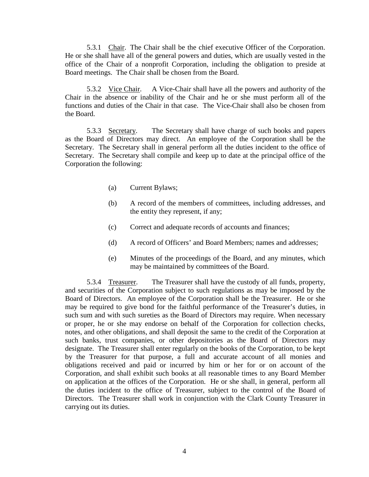5.3.1 Chair. The Chair shall be the chief executive Officer of the Corporation. He or she shall have all of the general powers and duties, which are usually vested in the office of the Chair of a nonprofit Corporation, including the obligation to preside at Board meetings. The Chair shall be chosen from the Board.

5.3.2 Vice Chair. A Vice-Chair shall have all the powers and authority of the Chair in the absence or inability of the Chair and he or she must perform all of the functions and duties of the Chair in that case. The Vice-Chair shall also be chosen from the Board.

5.3.3 Secretary. The Secretary shall have charge of such books and papers as the Board of Directors may direct. An employee of the Corporation shall be the Secretary. The Secretary shall in general perform all the duties incident to the office of Secretary. The Secretary shall compile and keep up to date at the principal office of the Corporation the following:

- (a) Current Bylaws;
- (b) A record of the members of committees, including addresses, and the entity they represent, if any;
- (c) Correct and adequate records of accounts and finances;
- (d) A record of Officers' and Board Members; names and addresses;
- (e) Minutes of the proceedings of the Board, and any minutes, which may be maintained by committees of the Board.

5.3.4 Treasurer. The Treasurer shall have the custody of all funds, property, and securities of the Corporation subject to such regulations as may be imposed by the Board of Directors. An employee of the Corporation shall be the Treasurer. He or she may be required to give bond for the faithful performance of the Treasurer's duties, in such sum and with such sureties as the Board of Directors may require. When necessary or proper, he or she may endorse on behalf of the Corporation for collection checks, notes, and other obligations, and shall deposit the same to the credit of the Corporation at such banks, trust companies, or other depositories as the Board of Directors may designate. The Treasurer shall enter regularly on the books of the Corporation, to be kept by the Treasurer for that purpose, a full and accurate account of all monies and obligations received and paid or incurred by him or her for or on account of the Corporation, and shall exhibit such books at all reasonable times to any Board Member on application at the offices of the Corporation. He or she shall, in general, perform all the duties incident to the office of Treasurer, subject to the control of the Board of Directors. The Treasurer shall work in conjunction with the Clark County Treasurer in carrying out its duties.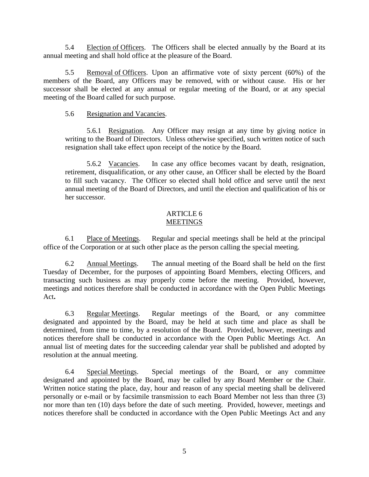5.4 Election of Officers. The Officers shall be elected annually by the Board at its annual meeting and shall hold office at the pleasure of the Board.

5.5 Removal of Officers. Upon an affirmative vote of sixty percent (60%) of the members of the Board, any Officers may be removed, with or without cause. His or her successor shall be elected at any annual or regular meeting of the Board, or at any special meeting of the Board called for such purpose.

# 5.6 Resignation and Vacancies.

5.6.1 Resignation. Any Officer may resign at any time by giving notice in writing to the Board of Directors. Unless otherwise specified, such written notice of such resignation shall take effect upon receipt of the notice by the Board.

5.6.2 Vacancies. In case any office becomes vacant by death, resignation, retirement, disqualification, or any other cause, an Officer shall be elected by the Board to fill such vacancy. The Officer so elected shall hold office and serve until the next annual meeting of the Board of Directors, and until the election and qualification of his or her successor.

# ARTICLE 6 **MEETINGS**

6.1 Place of Meetings. Regular and special meetings shall be held at the principal office of the Corporation or at such other place as the person calling the special meeting.

6.2 Annual Meetings. The annual meeting of the Board shall be held on the first Tuesday of December, for the purposes of appointing Board Members, electing Officers, and transacting such business as may properly come before the meeting. Provided, however, meetings and notices therefore shall be conducted in accordance with the Open Public Meetings Act**.**

6.3 Regular Meetings. Regular meetings of the Board, or any committee designated and appointed by the Board, may be held at such time and place as shall be determined, from time to time, by a resolution of the Board. Provided, however, meetings and notices therefore shall be conducted in accordance with the Open Public Meetings Act. An annual list of meeting dates for the succeeding calendar year shall be published and adopted by resolution at the annual meeting.

6.4 Special Meetings. Special meetings of the Board, or any committee designated and appointed by the Board, may be called by any Board Member or the Chair. Written notice stating the place, day, hour and reason of any special meeting shall be delivered personally or e-mail or by facsimile transmission to each Board Member not less than three (3) nor more than ten (10) days before the date of such meeting. Provided, however, meetings and notices therefore shall be conducted in accordance with the Open Public Meetings Act and any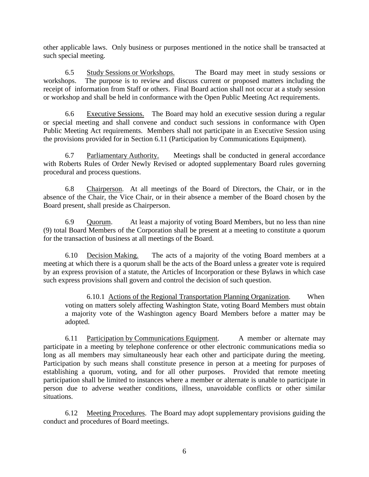other applicable laws. Only business or purposes mentioned in the notice shall be transacted at such special meeting.

6.5 Study Sessions or Workshops. The Board may meet in study sessions or workshops. The purpose is to review and discuss current or proposed matters including the receipt of information from Staff or others. Final Board action shall not occur at a study session or workshop and shall be held in conformance with the Open Public Meeting Act requirements.

6.6 Executive Sessions. The Board may hold an executive session during a regular or special meeting and shall convene and conduct such sessions in conformance with Open Public Meeting Act requirements. Members shall not participate in an Executive Session using the provisions provided for in Section 6.11 (Participation by Communications Equipment).

6.7 Parliamentary Authority. Meetings shall be conducted in general accordance with Roberts Rules of Order Newly Revised or adopted supplementary Board rules governing procedural and process questions.

6.8 Chairperson. At all meetings of the Board of Directors, the Chair, or in the absence of the Chair, the Vice Chair, or in their absence a member of the Board chosen by the Board present, shall preside as Chairperson.

6.9 Quorum. At least a majority of voting Board Members, but no less than nine (9) total Board Members of the Corporation shall be present at a meeting to constitute a quorum for the transaction of business at all meetings of the Board.

6.10 Decision Making. The acts of a majority of the voting Board members at a meeting at which there is a quorum shall be the acts of the Board unless a greater vote is required by an express provision of a statute, the Articles of Incorporation or these Bylaws in which case such express provisions shall govern and control the decision of such question.

6.10.1 Actions of the Regional Transportation Planning Organization. When voting on matters solely affecting Washington State, voting Board Members must obtain a majority vote of the Washington agency Board Members before a matter may be adopted.

6.11 Participation by Communications Equipment. A member or alternate may participate in a meeting by telephone conference or other electronic communications media so long as all members may simultaneously hear each other and participate during the meeting. Participation by such means shall constitute presence in person at a meeting for purposes of establishing a quorum, voting, and for all other purposes. Provided that remote meeting participation shall be limited to instances where a member or alternate is unable to participate in person due to adverse weather conditions, illness, unavoidable conflicts or other similar situations.

6.12 Meeting Procedures. The Board may adopt supplementary provisions guiding the conduct and procedures of Board meetings.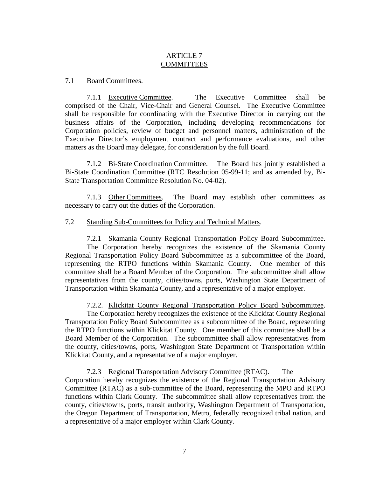# ARTICLE 7 **COMMITTEES**

# 7.1 Board Committees.

7.1.1 Executive Committee. The Executive Committee shall be comprised of the Chair, Vice-Chair and General Counsel. The Executive Committee shall be responsible for coordinating with the Executive Director in carrying out the business affairs of the Corporation, including developing recommendations for Corporation policies, review of budget and personnel matters, administration of the Executive Director's employment contract and performance evaluations, and other matters as the Board may delegate, for consideration by the full Board.

7.1.2 Bi-State Coordination Committee. The Board has jointly established a Bi-State Coordination Committee (RTC Resolution 05-99-11; and as amended by, Bi-State Transportation Committee Resolution No. 04-02).

7.1.3 Other Committees. The Board may establish other committees as necessary to carry out the duties of the Corporation.

#### 7.2 Standing Sub-Committees for Policy and Technical Matters.

7.2.1 Skamania County Regional Transportation Policy Board Subcommittee. The Corporation hereby recognizes the existence of the Skamania County Regional Transportation Policy Board Subcommittee as a subcommittee of the Board, representing the RTPO functions within Skamania County. One member of this committee shall be a Board Member of the Corporation. The subcommittee shall allow representatives from the county, cities/towns, ports, Washington State Department of Transportation within Skamania County, and a representative of a major employer.

7.2.2. Klickitat County Regional Transportation Policy Board Subcommittee.

The Corporation hereby recognizes the existence of the Klickitat County Regional Transportation Policy Board Subcommittee as a subcommittee of the Board, representing the RTPO functions within Klickitat County. One member of this committee shall be a Board Member of the Corporation. The subcommittee shall allow representatives from the county, cities/towns, ports, Washington State Department of Transportation within Klickitat County, and a representative of a major employer.

7.2.3 Regional Transportation Advisory Committee (RTAC). The Corporation hereby recognizes the existence of the Regional Transportation Advisory Committee (RTAC) as a sub-committee of the Board, representing the MPO and RTPO functions within Clark County. The subcommittee shall allow representatives from the county, cities/towns, ports, transit authority, Washington Department of Transportation, the Oregon Department of Transportation, Metro, federally recognized tribal nation, and a representative of a major employer within Clark County.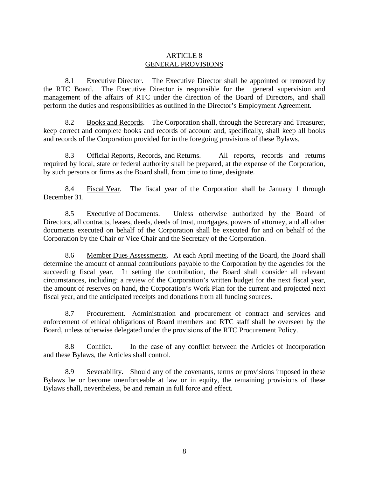# ARTICLE 8 GENERAL PROVISIONS

8.1 Executive Director. The Executive Director shall be appointed or removed by the RTC Board. The Executive Director is responsible for the general supervision and management of the affairs of RTC under the direction of the Board of Directors, and shall perform the duties and responsibilities as outlined in the Director's Employment Agreement.

8.2 Books and Records. The Corporation shall, through the Secretary and Treasurer, keep correct and complete books and records of account and, specifically, shall keep all books and records of the Corporation provided for in the foregoing provisions of these Bylaws.

8.3 Official Reports, Records, and Returns. All reports, records and returns required by local, state or federal authority shall be prepared, at the expense of the Corporation, by such persons or firms as the Board shall, from time to time, designate.

8.4 Fiscal Year. The fiscal year of the Corporation shall be January 1 through December 31.

8.5 Executive of Documents. Unless otherwise authorized by the Board of Directors, all contracts, leases, deeds, deeds of trust, mortgages, powers of attorney, and all other documents executed on behalf of the Corporation shall be executed for and on behalf of the Corporation by the Chair or Vice Chair and the Secretary of the Corporation.

8.6 Member Dues Assessments. At each April meeting of the Board, the Board shall determine the amount of annual contributions payable to the Corporation by the agencies for the succeeding fiscal year. In setting the contribution, the Board shall consider all relevant circumstances, including: a review of the Corporation's written budget for the next fiscal year, the amount of reserves on hand, the Corporation's Work Plan for the current and projected next fiscal year, and the anticipated receipts and donations from all funding sources.

8.7 Procurement. Administration and procurement of contract and services and enforcement of ethical obligations of Board members and RTC staff shall be overseen by the Board, unless otherwise delegated under the provisions of the RTC Procurement Policy.

8.8 Conflict. In the case of any conflict between the Articles of Incorporation and these Bylaws, the Articles shall control.

8.9 Severability. Should any of the covenants, terms or provisions imposed in these Bylaws be or become unenforceable at law or in equity, the remaining provisions of these Bylaws shall, nevertheless, be and remain in full force and effect.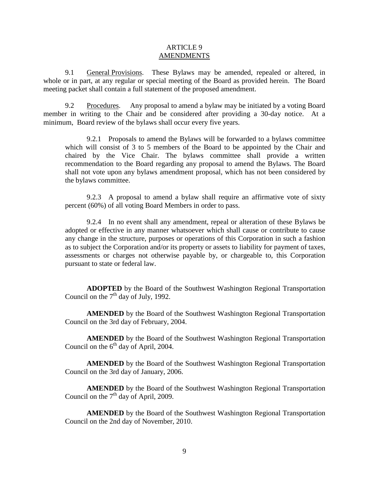# ARTICLE 9 **AMENDMENTS**

9.1 General Provisions. These Bylaws may be amended, repealed or altered, in whole or in part, at any regular or special meeting of the Board as provided herein. The Board meeting packet shall contain a full statement of the proposed amendment.

9.2 Procedures. Any proposal to amend a bylaw may be initiated by a voting Board member in writing to the Chair and be considered after providing a 30-day notice. At a minimum, Board review of the bylaws shall occur every five years.

9.2.1 Proposals to amend the Bylaws will be forwarded to a bylaws committee which will consist of 3 to 5 members of the Board to be appointed by the Chair and chaired by the Vice Chair. The bylaws committee shall provide a written recommendation to the Board regarding any proposal to amend the Bylaws. The Board shall not vote upon any bylaws amendment proposal, which has not been considered by the bylaws committee.

9.2.3 A proposal to amend a bylaw shall require an affirmative vote of sixty percent (60%) of all voting Board Members in order to pass.

9.2.4 In no event shall any amendment, repeal or alteration of these Bylaws be adopted or effective in any manner whatsoever which shall cause or contribute to cause any change in the structure, purposes or operations of this Corporation in such a fashion as to subject the Corporation and/or its property or assets to liability for payment of taxes, assessments or charges not otherwise payable by, or chargeable to, this Corporation pursuant to state or federal law.

**ADOPTED** by the Board of the Southwest Washington Regional Transportation Council on the  $7<sup>th</sup>$  day of July, 1992.

**AMENDED** by the Board of the Southwest Washington Regional Transportation Council on the 3rd day of February, 2004.

**AMENDED** by the Board of the Southwest Washington Regional Transportation Council on the  $6<sup>th</sup>$  day of April, 2004.

**AMENDED** by the Board of the Southwest Washington Regional Transportation Council on the 3rd day of January, 2006.

**AMENDED** by the Board of the Southwest Washington Regional Transportation Council on the  $7<sup>th</sup>$  day of April, 2009.

**AMENDED** by the Board of the Southwest Washington Regional Transportation Council on the 2nd day of November, 2010.